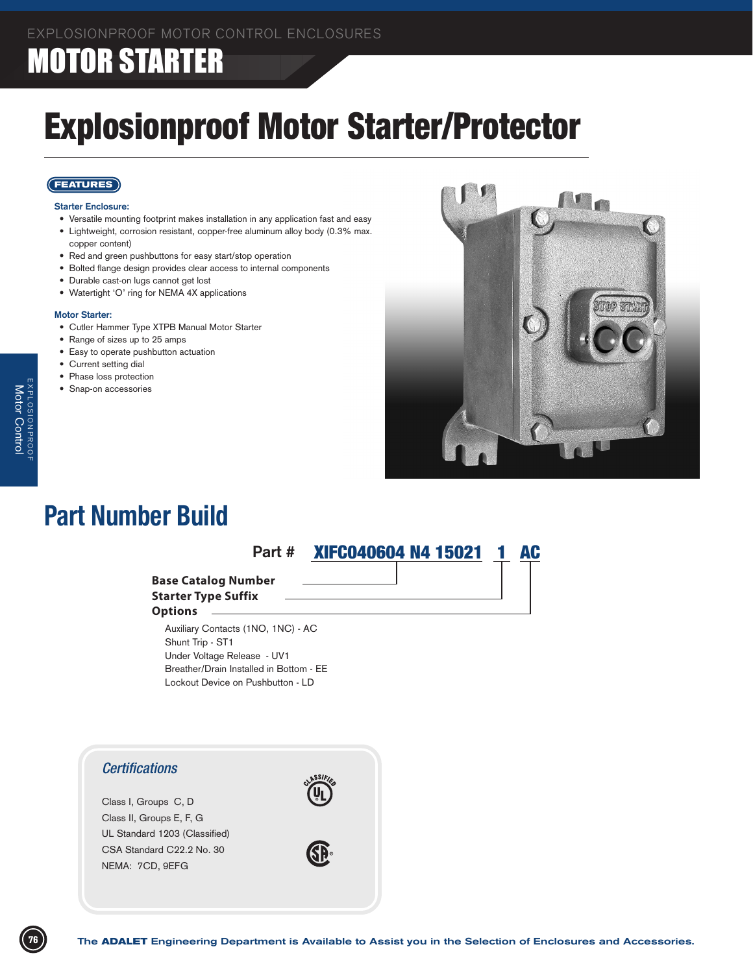# MOTOR STARTER

# Explosionproof Motor Starter/Protector

### **FEATURES**

#### **Starter Enclosure:**

- • Versatile mounting footprint makes installation in any application fast and easy
- Lightweight, corrosion resistant, copper-free aluminum alloy body (0.3% max. copper content)
- Red and green pushbuttons for easy start/stop operation
- Bolted flange design provides clear access to internal components
- Durable cast-on lugs cannot get lost
- Watertight 'O' ring for NEMA 4X applications

#### **Motor Starter:**

EXPLOSIONPROOF Motor

Control

- • Cutler Hammer Type XTPB Manual Motor Starter
- Range of sizes up to 25 amps
- Easy to operate pushbutton actuation
- Current setting dial
- Phase loss protection
- Snap-on accessories



# **Part Number Build**



### *Enclosure Specifications* **Base Catalog Number Starter Type Suffix**

#### **Options**

 Auxiliary Contacts (1NO, 1NC) - AC Shunt Trip - ST1 Under Voltage Release - UV1 Breather/Drain Installed in Bottom - EE Lockout Device on Pushbutton - LD

## *Certifications*

Class I, Groups C, D Class II, Groups E, F, G UL Standard 1203 (Classified) CSA Standard C22.2 No. 30 NEMA: 7CD, 9EFG